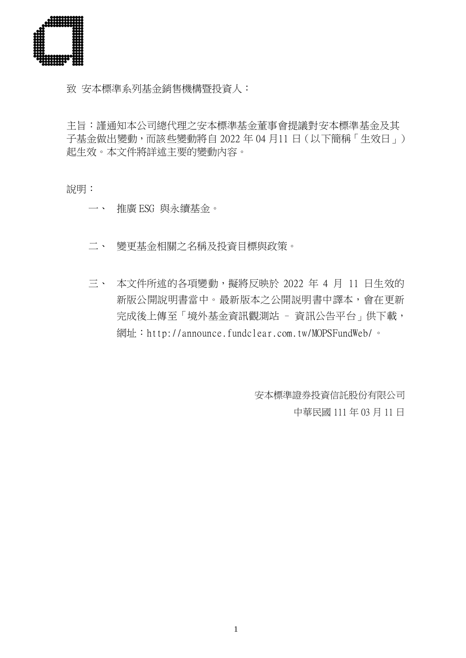

致 安本標準系列基金銷售機構暨投資人:

主旨:謹通知本公司總代理之安本標準基金董事會提議對安本標準基金及其 子基金做出變動,而該些變動將自 2022 年 04 月11 日(以下簡稱「生效日」) 起生效。本文件將詳述主要的變動內容。

說明:

- 一、 推廣 ESG 與永續基金。
- 二、 變更基金相關之名稱及投資目標與政策。
- 三、本文件所述的各項變動,擬將反映於 2022 年 4 月 11 日生效的 新版公開說明書當中。最新版本之公開説明書中譯本,會在更新 完成後上傳至「境外基金資訊觀測站 - 資訊公告平台」供下載, 網址:<http://announce.fundclear.com.tw/MOPSFundWeb/>。

安本標準證券投資信託股份有限公司 中華民國 111 年 03 月 11 日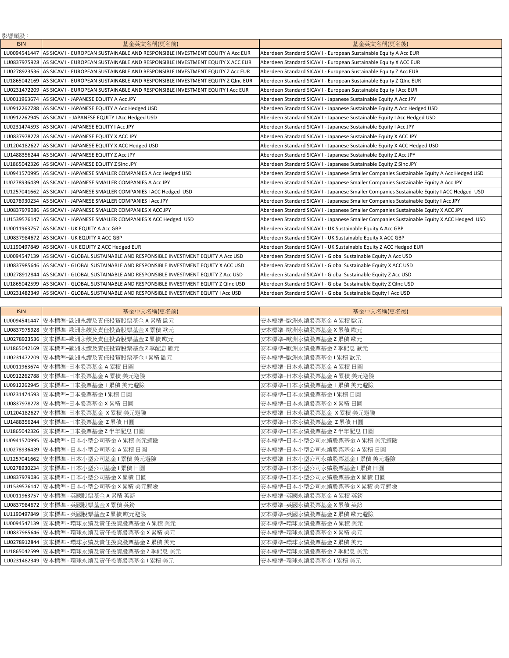| 影響類股:       |                                                                                             |                                                                                            |
|-------------|---------------------------------------------------------------------------------------------|--------------------------------------------------------------------------------------------|
| <b>ISIN</b> | 基金英文名稱(更名前)                                                                                 | 基金英文名稱(更名後)                                                                                |
|             | LU0094541447 AS SICAV I - EUROPEAN SUSTAINABLE AND RESPONSIBLE INVESTMENT EQUITY A ACC EUR  | Aberdeen Standard SICAV I - European Sustainable Equity A Acc EUR                          |
|             | LU0837975928 AS SICAV I - EUROPEAN SUSTAINABLE AND RESPONSIBLE INVESTMENT EQUITY X ACC EUR  | Aberdeen Standard SICAV I - European Sustainable Equity X ACC EUR                          |
|             | LU0278923536 AS SICAV I - EUROPEAN SUSTAINABLE AND RESPONSIBLE INVESTMENT EQUITY Z Acc EUR  | Aberdeen Standard SICAV I - European Sustainable Equity Z Acc EUR                          |
|             | LU1865042169 AS SICAV I - EUROPEAN SUSTAINABLE AND RESPONSIBLE INVESTMENT EQUITY Z QInc EUR | Aberdeen Standard SICAV I - European Sustainable Equity Z QInc EUR                         |
|             | LU0231472209 AS SICAV I - EUROPEAN SUSTAINABLE AND RESPONSIBLE INVESTMENT EQUITY I ACC EUR  | Aberdeen Standard SICAV I - European Sustainable Equity I Acc EUR                          |
|             | LU0011963674 AS SICAV I - JAPANESE EQUITY A Acc JPY                                         | Aberdeen Standard SICAV I - Japanese Sustainable Equity A Acc JPY                          |
|             | LU0912262788 AS SICAV I - JAPANESE EQUITY A Acc Hedged USD                                  | Aberdeen Standard SICAV I - Japanese Sustainable Equity A Acc Hedged USD                   |
|             | LU0912262945 AS SICAV I - JAPANESE EQUITY I Acc Hedged USD                                  | Aberdeen Standard SICAV I - Japanese Sustainable Equity I Acc Hedged USD                   |
|             | LU0231474593 AS SICAV I - JAPANESE EQUITY I Acc JPY                                         | Aberdeen Standard SICAV I - Japanese Sustainable Equity I Acc JPY                          |
|             | LU0837978278 AS SICAV I - JAPANESE EQUITY X ACC JPY                                         | Aberdeen Standard SICAV I - Japanese Sustainable Equity X ACC JPY                          |
|             | LU1204182627 AS SICAV I - JAPANESE EQUITY X ACC Hedged USD                                  | Aberdeen Standard SICAV I - Japanese Sustainable Equity X ACC Hedged USD                   |
|             | LU1488356244 AS SICAV I - JAPANESE EQUITY Z Acc JPY                                         | Aberdeen Standard SICAV I - Japanese Sustainable Equity Z Acc JPY                          |
|             | LU1865042326 AS SICAV I - JAPANESE EQUITY Z SInc JPY                                        | Aberdeen Standard SICAV I - Japanese Sustainable Equity Z SInc JPY                         |
|             | LU0941570995 AS SICAV I - JAPANESE SMALLER COMPANIES A Acc Hedged USD                       | Aberdeen Standard SICAV I - Japanese Smaller Companies Sustainable Equity A Acc Hedged USD |
|             | LU0278936439 AS SICAV I - JAPANESE SMALLER COMPANIES A Acc JPY                              | Aberdeen Standard SICAV I - Japanese Smaller Companies Sustainable Equity A Acc JPY        |
|             | LU1257041662 AS SICAV I - JAPANESE SMALLER COMPANIES I ACC Hedged USD                       | Aberdeen Standard SICAV I - Japanese Smaller Companies Sustainable Equity I ACC Hedged USD |
|             | LU0278930234 AS SICAV I - JAPANESE SMALLER COMPANIES I Acc JPY                              | Aberdeen Standard SICAV I - Japanese Smaller Companies Sustainable Equity I Acc JPY        |
|             | LU0837979086 AS SICAV I - JAPANESE SMALLER COMPANIES X ACC JPY                              | Aberdeen Standard SICAV I - Japanese Smaller Companies Sustainable Equity X ACC JPY        |
|             | LU1539576147 AS SICAV I - JAPANESE SMALLER COMPANIES X ACC Hedged USD                       | Aberdeen Standard SICAV I - Japanese Smaller Companies Sustainable Equity X ACC Hedged USD |
|             | LU0011963757 AS SICAV I - UK EQUITY A Acc GBP                                               | Aberdeen Standard SICAV I - UK Sustainable Equity A Acc GBP                                |
|             | LU0837984672 AS SICAV I - UK EQUITY X ACC GBP                                               | Aberdeen Standard SICAV I - UK Sustainable Equity X ACC GBP                                |
|             | LU1190497849 AS SICAV I - UK EQUITY Z ACC Hedged EUR                                        | Aberdeen Standard SICAV I - UK Sustainable Equity Z ACC Hedged EUR                         |
|             | LU0094547139 AS SICAV I - GLOBAL SUSTAINABLE AND RESPONSIBLE INVESTMENT EQUITY A Acc USD    | Aberdeen Standard SICAV I - Global Sustainable Equity A Acc USD                            |
|             | LU0837985646 AS SICAV I - GLOBAL SUSTAINABLE AND RESPONSIBLE INVESTMENT EQUITY X ACC USD    | Aberdeen Standard SICAV I - Global Sustainable Equity X ACC USD                            |
|             | LU0278912844 AS SICAV I - GLOBAL SUSTAINABLE AND RESPONSIBLE INVESTMENT EQUITY Z Acc USD    | Aberdeen Standard SICAV I - Global Sustainable Equity Z Acc USD                            |
|             | LU1865042599 AS SICAV I - GLOBAL SUSTAINABLE AND RESPONSIBLE INVESTMENT EQUITY Z QInc USD   | Aberdeen Standard SICAV I - Global Sustainable Equity Z QInc USD                           |
|             | LU0231482349 AS SICAV I - GLOBAL SUSTAINABLE AND RESPONSIBLE INVESTMENT EQUITY I Acc USD    | Aberdeen Standard SICAV I - Global Sustainable Equity I Acc USD                            |

| <b>ISIN</b>  | 基金中文名稱(更名前)                                | 基金中文名稱(更名後)                 |
|--------------|--------------------------------------------|-----------------------------|
| LU0094541447 | 安本標準-歐洲永續及責任投資股票基金A累積歐元                    | 安本標準-歐洲永續股票基金 A 累積 歐元       |
|              | LU0837975928   安本標準-歐洲永續及責任投資股票基金 X 累積 歐元  | 安本標準-歐洲永續股票基金 X 累積 歐元       |
|              | LU0278923536   安本標準-歐洲永續及責任投資股票基金 Z 累積 歐元  | 安本標準-歐洲永續股票基金 Z 累積 歐元       |
|              | LU1865042169   安本標準-歐洲永續及責任投資股票基金 Z 季配息 歐元 | 安本標準-歐洲永續股票基金 Z 季配息 歐元      |
|              | LU0231472209 安本標準-歐洲永續及責任投資股票基金 I 累積 歐元    | 安本標準-歐洲永續股票基金   累積 歐元       |
|              | LU0011963674   安本標準-日本股票基金 A 累積 日圓         | 安本標準-日本永續股票基金 A 累積 日圓       |
|              | LU0912262788  安本標準-日本股票基金 A 累積 美元避險        | 安本標準-日本永續股票基金 A 累積 美元避險     |
|              | LU0912262945  安本標準-日本股票基金 I 累積 美元避險        | 安本標準–日本永續股票基金 1 累積 美元避險     |
|              | LU0231474593 安本標準-日本股票基金   累積 日圓           | 安本標準–日本永續股票基金   累積 日圓       |
|              | LU0837978278   安本標準-日本股票基金 X 累積 日圓         | 安本標準-日本永續股票基金 X 累積 日圓       |
|              | LU1204182627 安本標準-日本股票基金 X 累積 美元避險         | 安本標準–日本永續股票基金 X 累積 美元避險     |
|              | LU1488356244 安本標準-日本股票基金 Z 累積 日圓           | 安本標準-日本永續股票基金 Z 累積 日圓       |
|              | LU1865042326 安本標準-日本股票基金 Z 半年配息 日圓         | 安本標準-日本永續股票基金 Z 半年配息 日圓     |
|              | LU0941570995   安本標準 - 日本小型公司基金 A 累積 美元避險   | 安本標準–日本小型公司永續股票基金 A 累積 美元避險 |
|              | LU0278936439 安本標準 - 日本小型公司基金 A 累積 日圓       | 安本標準-日本小型公司永續股票基金 A 累積 日圓   |
|              | LU1257041662  安本標準 - 日本小型公司基金   累積 美元避險    | 安本標準–日本小型公司永續股票基金   累積 美元避險 |
|              | LU0278930234 安本標準 - 日本小型公司基金 I 累積 日圓       | 安本標準−日本小型公司永續股票基金Ⅰ累積 日圓     |
|              | LU0837979086 安本標準 - 日本小型公司基金 X 累積 日圓       | 安本標準-日本小型公司永續股票基金 X 累積 日圓   |
|              | LU1539576147  安本標準 - 日本小型公司基金 X 累積 美元避險    | 安本標準–日本小型公司永續股票基金 X 累積 美元避險 |
|              | LU0011963757 安本標準 - 英國股票基金 A 累積 英鎊         | 安本標準-英國永續股票基金 A 累積 英鎊       |
|              | LU0837984672   安本標準 - 英國股票基金 X 累積 英鎊       | 安本標準-英國永續股票基金 X 累積 英鎊       |
|              | LU1190497849 安本標準 - 英國股票基金 Z 累積 歐元避險       | 安本標準-英國永續股票基金 Z 累積 歐元避險     |
|              | LU0094547139 安本標準 - 環球永續及責任投資股票基金 A 累積 美元  | 安本標準-環球永續股票基金 A 累積 美元       |
|              | LU0837985646 安本標準 - 環球永續及責任投資股票基金 X 累積 美元  | 安本標準-環球永續股票基金 X 累積 美元       |
|              | LU0278912844 安本標準 - 環球永續及責任投資股票基金 Z 累積 美元  | 安本標準-環球永續股票基金 Z 累積 美元       |
|              | LU1865042599 安本標準 - 環球永續及責任投資股票基金 Z 季配息 美元 | 安本標準-環球永續股票基金 Z 季配息 美元      |
|              | LU0231482349 安本標準 - 環球永續及責任投資股票基金 I 累積 美元  | 安本標準-環球永續股票基金   累積 美元       |
|              |                                            |                             |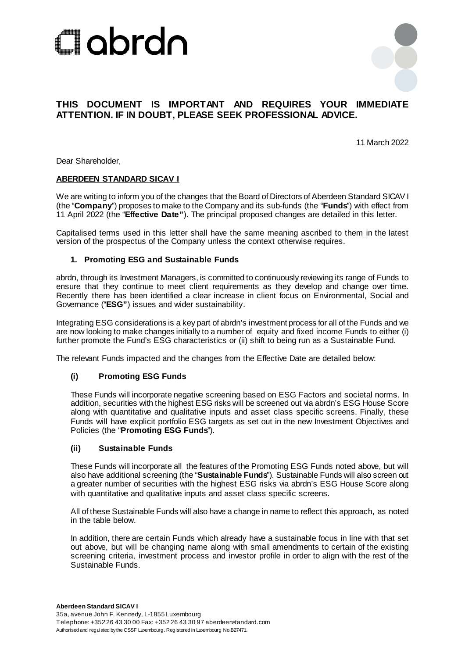



# **THIS DOCUMENT IS IMPORTANT AND REQUIRES YOUR IMMEDIATE ATTENTION. IF IN DOUBT, PLEASE SEEK PROFESSIONAL ADVICE.**

11 March 2022

Dear Shareholder,

#### **ABERDEEN STANDARD SICAV I**

We are writing to inform you of the changes that the Board of Directors of Aberdeen Standard SICAV I (the "**Company**") proposes to make to the Company and its sub-funds (the "**Funds**") with effect from 11 April 2022 (the "**Effective Date"**). The principal proposed changes are detailed in this letter.

Capitalised terms used in this letter shall have the same meaning ascribed to them in the latest version of the prospectus of the Company unless the context otherwise requires.

#### **1. Promoting ESG and Sustainable Funds**

abrdn, through its Investment Managers, is committed to continuously reviewing its range of Funds to ensure that they continue to meet client requirements as they develop and change over time. Recently there has been identified a clear increase in client focus on Environmental, Social and Governance ("**ESG"**) issues and wider sustainability.

Integrating ESG considerations is a key part of abrdn's investment process for all of the Funds and we are now looking to make changes initially to a number of equity and fixed income Funds to either (i) further promote the Fund's ESG characteristics or (ii) shift to being run as a Sustainable Fund.

The relevant Funds impacted and the changes from the Effective Date are detailed below:

#### **(i) Promoting ESG Funds**

These Funds will incorporate negative screening based on ESG Factors and societal norms. In addition, securities with the highest ESG risks will be screened out via abrdn's ESG House Score along with quantitative and qualitative inputs and asset class specific screens. Finally, these Funds will have explicit portfolio ESG targets as set out in the new Investment Objectives and Policies (the "**Promoting ESG Funds**").

#### **(ii) Sustainable Funds**

These Funds will incorporate all the features of the Promoting ESG Funds noted above, but will also have additional screening (the "**Sustainable Funds**"). Sustainable Funds will also screen out a greater number of securities with the highest ESG risks via abrdn's ESG House Score along with quantitative and qualitative inputs and asset class specific screens.

All of these Sustainable Funds will also have a change in name to reflect this approach, as noted in the table below.

In addition, there are certain Funds which already have a sustainable focus in line with that set out above, but will be changing name along with small amendments to certain of the existing screening criteria, investment process and investor profile in order to align with the rest of the Sustainable Funds.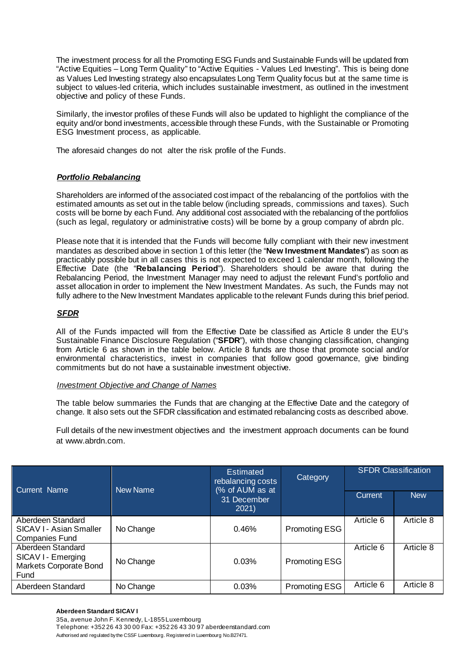The investment process for all the Promoting ESG Funds and Sustainable Funds will be updated from "Active Equities – Long Term Quality" to "Active Equities - Values Led Investing". This is being done as Values Led Investing strategy also encapsulates Long Term Quality focus but at the same time is subject to values-led criteria, which includes sustainable investment, as outlined in the investment objective and policy of these Funds.

Similarly, the investor profiles of these Funds will also be updated to highlight the compliance of the equity and/or bond investments, accessible through these Funds, with the Sustainable or Promoting ESG Investment process, as applicable.

The aforesaid changes do not alter the risk profile of the Funds.

## **Portfolio Rebalancing**

Shareholders are informed of the associated cost impact of the rebalancing of the portfolios with the estimated amounts as set out in the table below (including spreads, commissions and taxes). Such costs will be borne by each Fund. Any additional cost associated with the rebalancing of the portfolios (such as legal, regulatory or administrative costs) will be borne by a group company of abrdn plc.

Please note that it is intended that the Funds will become fully compliant with their new investment mandates as described above in section 1 of this letter (the "**New Investment Mandates**") as soon as practicably possible but in all cases this is not expected to exceed 1 calendar month, following the Effective Date (the "**Rebalancing Period**"). Shareholders should be aware that during the Rebalancing Period, the Investment Manager may need to adjust the relevant Fund's portfolio and asset allocation in order to implement the New Investment Mandates. As such, the Funds may not fully adhere to the New Investment Mandates applicable to the relevant Funds during this brief period.

# <sup>U</sup> *SFDR*

All of the Funds impacted will from the Effective Date be classified as Article 8 under the EU's Sustainable Finance Disclosure Regulation ("**SFDR**"), with those changing classification, changing from Article 6 as shown in the table below. Article 8 funds are those that promote social and/or environmental characteristics, invest in companies that follow good governance, give binding commitments but do not have a sustainable investment objective.

### **Investment Objective and Change of Names**

The table below summaries the Funds that are changing at the Effective Date and the category of change. It also sets out the SFDR classification and estimated rebalancing costs as described above.

Full details of the new investment objectives and the investment approach documents can be found at www.abrdn.com.

| Current Name                                                              | <b>New Name</b> | <b>Estimated</b><br>rebalancing costs<br>(% of AUM as at | Category             | <b>SFDR Classification</b> |            |
|---------------------------------------------------------------------------|-----------------|----------------------------------------------------------|----------------------|----------------------------|------------|
|                                                                           |                 | 31 December<br>2021)                                     |                      | Current                    | <b>New</b> |
| Aberdeen Standard<br>SICAV I - Asian Smaller<br><b>Companies Fund</b>     | No Change       | 0.46%                                                    | <b>Promoting ESG</b> | Article 6                  | Article 8  |
| Aberdeen Standard<br>SICAV I - Emerging<br>Markets Corporate Bond<br>Fund | No Change       | 0.03%                                                    | <b>Promoting ESG</b> | Article 6                  | Article 8  |
| Aberdeen Standard                                                         | No Change       | 0.03%                                                    | <b>Promoting ESG</b> | Article 6                  | Article 8  |

#### **Aberdeen Standard SICAV I**

35a, avenue John F. Kennedy, L-1855 Luxembourg Telephone: +352 26 43 30 00 Fax: +352 26 43 30 97 aberdeenstandard.com Authorised and regulated by the CSSF Luxembourg. Registered in Luxembourg No.B27471.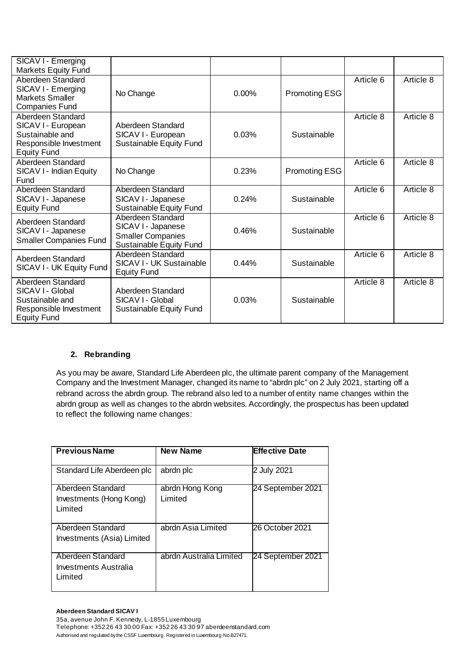| SICAV I - Emerging<br><b>Markets Equity Fund</b>                                                           |                                                                                                |       |                      |           |           |
|------------------------------------------------------------------------------------------------------------|------------------------------------------------------------------------------------------------|-------|----------------------|-----------|-----------|
| Aberdeen Standard<br>SICAV I - Emerging<br><b>Markets Smaller</b><br><b>Companies Fund</b>                 | No Change                                                                                      | 0.00% | <b>Promoting ESG</b> | Article 6 | Article 8 |
| Aberdeen Standard<br>SICAV I - European<br>Sustainable and<br>Responsible Investment<br><b>Equity Fund</b> | Aberdeen Standard<br>SICAV I - European<br>Sustainable Equity Fund                             | 0.03% | Sustainable          | Article 8 | Article 8 |
| Aberdeen Standard<br>SICAV I - Indian Equity<br>Fund                                                       | No Change                                                                                      | 0.23% | <b>Promoting ESG</b> | Article 6 | Article 8 |
| Aberdeen Standard<br>SICAV I - Japanese<br><b>Equity Fund</b>                                              | Aberdeen Standard<br>SICAV I - Japanese<br>Sustainable Equity Fund                             | 0.24% | Sustainable          | Article 6 | Article 8 |
| Aberdeen Standard<br>SICAV I - Japanese<br><b>Smaller Companies Fund</b>                                   | Aberdeen Standard<br>SICAV I - Japanese<br><b>Smaller Companies</b><br>Sustainable Equity Fund | 0.46% | Sustainable          | Article 6 | Article 8 |
| Aberdeen Standard<br>SICAV I - UK Equity Fund                                                              | Aberdeen Standard<br>SICAV I - UK Sustainable<br><b>Equity Fund</b>                            | 0.44% | Sustainable          | Article 6 | Article 8 |
| Aberdeen Standard<br>SICAV I - Global<br>Sustainable and<br>Responsible Investment<br><b>Equity Fund</b>   | Aberdeen Standard<br>SICAV I - Global<br>Sustainable Equity Fund                               | 0.03% | Sustainable          | Article 8 | Article 8 |

# **2. Rebranding**

As you may be aware, Standard Life Aberdeen plc, the ultimate parent company of the Management Company and the Investment Manager, changed its name to "abrdn plc" on 2 July 2021, starting off a rebrand across the abrdn group. The rebrand also led to a number of entity name changes within the abrdn group as well as changes to the abrdn websites. Accordingly, the prospectus has been updated to reflect the following name changes:

| <b>Previous Name</b>                                    | <b>New Name</b>            | <b>Effective Date</b> |
|---------------------------------------------------------|----------------------------|-----------------------|
| Standard Life Aberdeen plc                              | abrdn plc                  | 2 July 2021           |
| Aberdeen Standard<br>Investments (Hong Kong)<br>Limited | abrdn Hong Kong<br>Limited | 24 September 2021     |
| Aberdeen Standard<br>Investments (Asia) Limited         | abrdn Asia Limited         | 26 October 2021       |
| Aberdeen Standard<br>Investments Australia<br>Limited   | abrdn Australia Limited    | 24 September 2021     |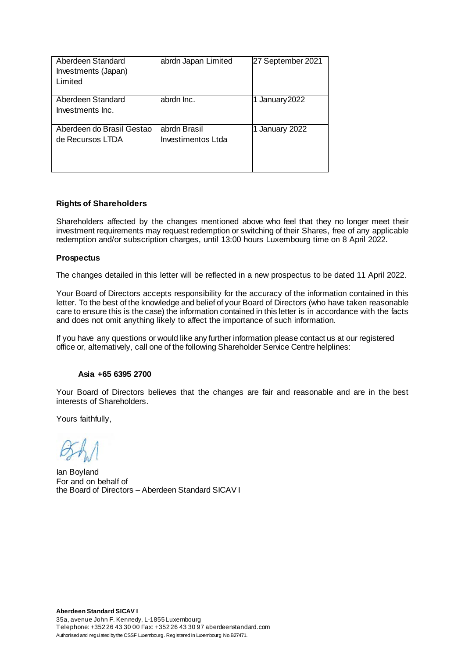| Aberdeen Standard<br>Investments (Japan)<br>Limited | abrdn Japan Limited                | 27 September 2021 |
|-----------------------------------------------------|------------------------------------|-------------------|
| Aberdeen Standard<br>Investments Inc.               | abrdn Inc.                         | 1 January 2022    |
| Aberdeen do Brasil Gestao<br>de Recursos LTDA       | abrdn Brasil<br>Investimentos Ltda | 1 January 2022    |

### **Rights of Shareholders**

Shareholders affected by the changes mentioned above who feel that they no longer meet their investment requirements may request redemption or switching of their Shares, free of any applicable redemption and/or subscription charges, until 13:00 hours Luxembourg time on 8 April 2022.

#### **Prospectus**

The changes detailed in this letter will be reflected in a new prospectus to be dated 11 April 2022.

Your Board of Directors accepts responsibility for the accuracy of the information contained in this letter. To the best of the knowledge and belief of your Board of Directors (who have taken reasonable care to ensure this is the case) the information contained in this letter is in accordance with the facts and does not omit anything likely to affect the importance of such information.

If you have any questions or would like any further information please contact us at our registered office or, alternatively, call one of the following Shareholder Service Centre helplines:

### **Asia +65 6395 2700**

Your Board of Directors believes that the changes are fair and reasonable and are in the best interests of Shareholders.

Yours faithfully,

Ian Boyland For and on behalf of the Board of Directors – Aberdeen Standard SICAV I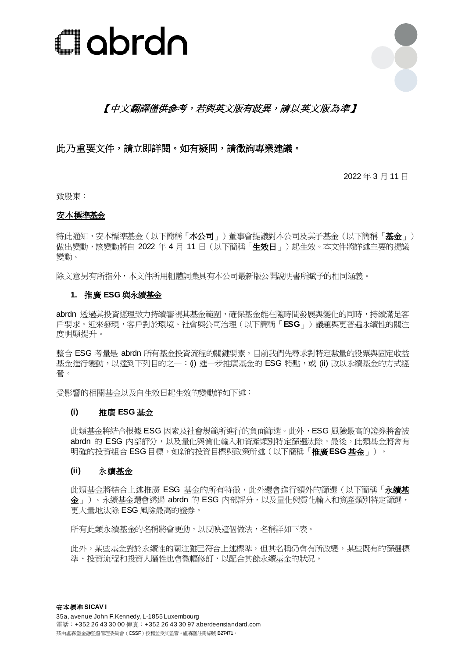



# 【中文翻譯僅供參考,若與英文版有歧異,請以英文版為準】

# 此乃重要文件,請立即詳閱。如有疑問,請徵詢專業建議。

2022 年 3 月 11 日

致股東:

### 安本標準基金

特此通知,安本標準基金(以下簡稱「本公司」)董事會提議對本公司及其子基金(以下簡稱「基金」) 做出變動,該變動將自 2022 年 4 月 11 日 (以下簡稱「生效日」)起生效。本文件將詳述主要的提議 變動。

除文意另有所指外,本文件所用粗體詞彙具有本公司最新版公開說明書所賦予的相同涵義。

### **1.** 推廣 **ESG** 與永續基金

abrdn 透過其投資經理致力持續審視其基金範圍,確保基金能在隨時間發展與變化的同時,持續滿足客 戶要求。近來發現,客戶對於環境、社會與公司治理(以下簡稱「**ESG**」)議題與更普遍永續性的關注 度明顯提升。

整合 ESG 考量是 abrdn 所有基金投資流程的關鍵要素,目前我們先盡求對特定數量的股票與固定收益 基金進行變動, 以達到下列目的之一: (i) 進一步推廣基金的 ESG 特點, 或 (ii) 改以永續基金的方式經 營。

受影響的相關基金以及自生效日起生效的變動詳如下述:

### **(i)** 推廣 **ESG** 基金

此類基金將結合根據 ESG 因素及社會規範所進行的負面篩選。此外,ESG 風險最高的證券將會被 abrdn 的 ESG 內部評分,以及量化與質化輸入和資產類別特定篩選汰除。最後,此類基金將會有 明確的投資組合 ESG 目標,如新的投資目標與政策所述(以下簡稱「推廣**ESG** 基金」)。

### **(ii)** 永續基金

此類基金將結合上述推廣 ESG 基金的所有特徵,此外還會進行額外的篩選(以下簡稱「永續基 金」)。永續基金還會透過 abrdn 的 ESG 內部評分,以及量化與質化輸入和資產類別特定篩選, 更大量地汰除 ESG 風險最高的證券。

所有此類永續基金的名稱將會更動,以反映這個做法,名稱詳如下表。

此外,某些基金對於永續性的關注雖已符合上述標準,但其名稱仍會有所改變,某些既有的篩選標 準、投資流程和投資人屬性也會微幅修訂,以配合其餘永續基金的狀況。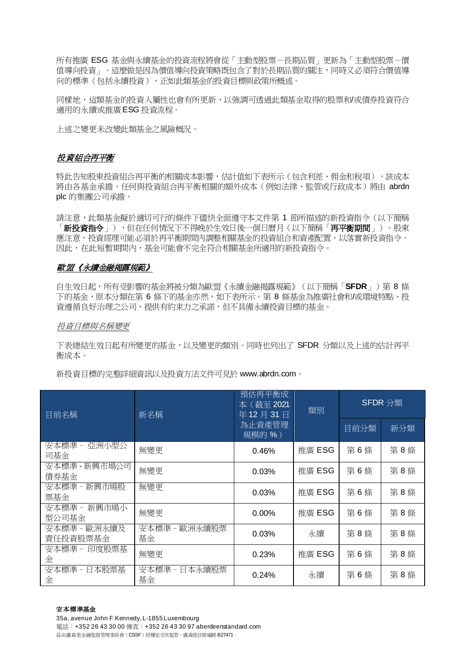所有推廣 ESG 基金與永續基金的投資流程將會從「主動型股票-長期品質」更新為「主動型股票-價 值導向投資」。這麼做是因為價值導向投資策略既包含了對於長期品質的關注,同時又必須符合價值導 向的標準(包括永續投資),正如此類基金的投資目標與政策所概述。

同樣地,這類基金的投資人屬性也會有所更新,以強調可透過此類基金取得的股票和/或債券投資符合 適用的永續或推廣ESG 投資流程。

上述之變更未改變此類基金之風險概況。

## 投資組合再平衡

特此告知股東投資組合再平衡的相關成本影響,估計值如下表所示(包含利差、佣金和稅項)。該成本 將由各基金承擔。任何與投資組合再平衡相關的額外成本(例如法律、監管或行政成本)將由 abrdn plc 的集團公司承擔。

請注意,此類基金擬於適切可行的條件下儘快全面遵守本文件第 1 節所描述的新投資指令(以下簡稱 「**新投資指令**」),但在任何情況下不得晚於生效日後一個日曆月(以下簡稱「**再平衡期間**」)。股東 應注意,投資經理可能必須於再平衡期間內調整相關基金的投資組合和資產配置,以落實新投資指令。 因此,在此短暫期間內,基金可能會不完全符合相關基金所適用的新投資指令。

### 歐盟《永續金融揭露規範》

自生效日起,所有受影響的基金將被分類為歐盟《永續金融揭露規範》(以下簡稱「**SFDR**」)第 8 條 下的基金,原本分類在第 6 條下的基金亦然,如下表所示。第 8 條基金為推廣社會和/或環境特點、投 資遵循良好治理之公司、提供有約束力之承諾,但不具備永續投資目標的基金。

#### 投資月標與名稱變更

下表總結生效日起有所變更的基金,以及變更的類別。同時也列出了 SFDR 分類以及上述的估計再平 衡成本。

新投資目標的完整詳細資訊以及投資方法文件可見於 www.abrdn.com。

| 目前名稱                     | 新名稱                    | 預估再平衡成<br>本 (截至 2021<br>年12月31日 | 類別     | SFDR 分類 |     |
|--------------------------|------------------------|---------------------------------|--------|---------|-----|
|                          |                        | 為止資產管理<br>規模的%)                 |        | 目前分類    | 新分類 |
| 安本標準 -<br>亞洲小型公<br>司基金   | 無變更                    | 0.46%                           | 推廣 ESG | 第6條     | 第8條 |
| 安本標準 - 新興市場公司<br>債券基金    | 無變更                    | 0.03%                           | 推廣 ESG | 第6條     | 第8條 |
| 安本標準 - 新興市場股<br>票基金      | 無變更                    | 0.03%                           | 推廣 ESG | 第6條     | 第8條 |
| 安本標準 - 新興市場小<br>型公司基金    | 無變更                    | $0.00\%$                        | 推廣 ESG | 第6條     | 第8條 |
| 安本標準 - 歐洲永續及<br>責任投資股票基金 | 安本標準 -<br>歐洲永續股票<br>基金 | 0.03%                           | 永續     | 第8條     | 第8條 |
| 安本標準 - 印度股票基<br>金        | 無變更                    | 0.23%                           | 推廣 ESG | 第6條     | 第8條 |
| 安本標準 - 日本股票基<br>金        | 安本標準 - 日本永續股票<br>基金    | 0.24%                           | 永續     | 第6條     | 第8條 |

#### 安本標準基金

35a, avenue John F.Kennedy, L-1855 Luxembourg 電話:+352 26 43 30 00 傳真:+352 26 43 30 97 aberdeenstandard.com 茲由盧森堡金融監督管理委員會(CSSF)授權並受其監管。盧森堡註冊編號 B27471。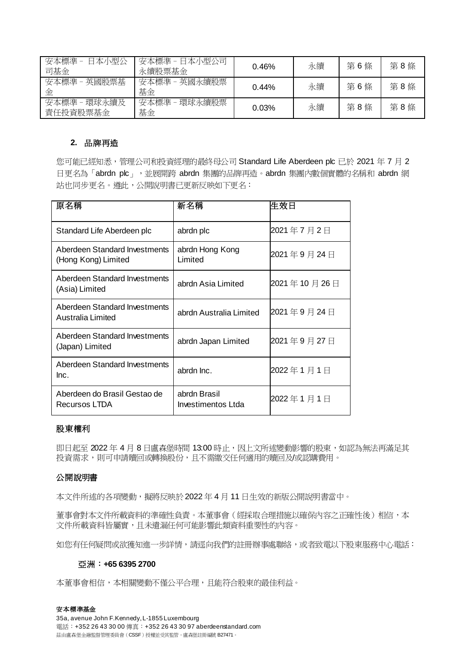| 安本標準 -<br>日本小型公<br>司基金      | 安本標準 -<br>日本小型公司<br>永續股票基金 | 0.46% | 永續 | 第6條 | 第8條 |
|-----------------------------|----------------------------|-------|----|-----|-----|
| 英國股票基<br>安本標準<br>金          | 英國永續股票<br>安本標準<br>基金       | 0.44% | 永續 | 第6條 | 第8條 |
| 環球永續及<br>安本標準 -<br>責任投資股票基金 | 環球永續股票<br>安本標準 -<br>基金     | 0.03% | 永續 | 第8條 | 第8條 |

#### **2.** 品牌再造

您可能已經知悉,管理公司和投資經理的最終母公司 Standard Life Aberdeen plc 已於 2021 年 7 月 2 日更名為「abrdn plc」,並展開跨 abrdn 集團的品牌再造。abrdn 集團內數個實體的名稱和 abrdn 網 站也同步更名。遵此,公開說明書已更新反映如下更名:

| 原名稱                                                  | 新名稱                                | 生效日         |
|------------------------------------------------------|------------------------------------|-------------|
| Standard Life Aberdeen plc                           | abrdn plc                          | 2021年7月2日   |
| Aberdeen Standard Investments<br>(Hong Kong) Limited | abrdn Hong Kong<br>Limited         | 2021年9月24日  |
| Aberdeen Standard Investments<br>(Asia) Limited      | abrdn Asia Limited                 | 2021年10月26日 |
| Aberdeen Standard Investments<br>Australia Limited   | abrdn Australia Limited            | 2021年9月24日  |
| Aberdeen Standard Investments<br>(Japan) Limited     | abrdn Japan Limited                | 2021年9月27日  |
| Aberdeen Standard Investments<br>Inc.                | abrdn Inc.                         | 2022年1月1日   |
| Aberdeen do Brasil Gestao de<br>Recursos LTDA        | abrdn Brasil<br>Investimentos Ltda | 2022年1月1日   |

## 股東權利

即日起至 2022 年 4 月 8 日盧森堡時間 13:00 時止,因上文所述變動影響的股東,如認為無法再滿足其 投資需求,則可申請贖回或轉換股份,且不需繳交任何適用的贖回及/或認購費用。

#### 公開說明書

本文件所述的各項變動,擬將反映於2022 年 4 月 11 日生效的新版公開說明書當中。

董事會對本文件所載資料的準確性負責。本董事會(經採取合理措施以確保內容之正確性後)相信,本 文件所載資料皆屬實,且未遺漏任何可能影響此類資料重要性的內容。

如您有任何疑問或欲獲知進一步詳情,請逕向我們的註冊辦事處聯絡,或者致電以下股東服務中心電話:

#### 亞洲:**+65 6395 2700**

本董事會相信,本相關變動不僅公平合理,且能符合股東的最佳利益。

#### 安本標準基金